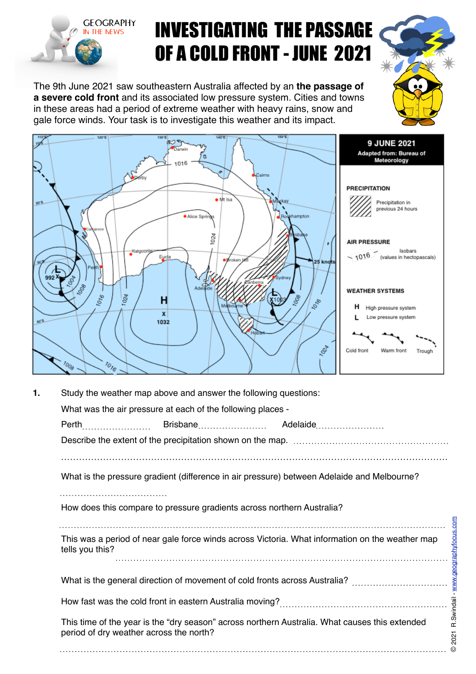

## INVESTIGATING THE PASSAGE OF A COLD FRONT - JUNE 2021

The 9th June 2021 saw southeastern Australia affected by an **the passage of a severe cold front** and its associated low pressure system. Cities and towns in these areas had a period of extreme weather with heavy rains, snow and gale force winds. Your task is to investigate this weather and its impact.



| 1. | Study the weather map above and answer the following questions:                                                                                                               |  |                                                             |  |                                                                                                 |               |  |  |
|----|-------------------------------------------------------------------------------------------------------------------------------------------------------------------------------|--|-------------------------------------------------------------|--|-------------------------------------------------------------------------------------------------|---------------|--|--|
|    |                                                                                                                                                                               |  | What was the air pressure at each of the following places - |  |                                                                                                 |               |  |  |
|    | Perth                                                                                                                                                                         |  |                                                             |  |                                                                                                 |               |  |  |
|    |                                                                                                                                                                               |  |                                                             |  |                                                                                                 |               |  |  |
|    |                                                                                                                                                                               |  |                                                             |  | What is the pressure gradient (difference in air pressure) between Adelaide and Melbourne?      |               |  |  |
|    |                                                                                                                                                                               |  |                                                             |  |                                                                                                 |               |  |  |
|    |                                                                                                                                                                               |  |                                                             |  | How does this compare to pressure gradients across northern Australia?                          |               |  |  |
|    | tells you this?                                                                                                                                                               |  |                                                             |  | This was a period of near gale force winds across Victoria. What information on the weather map | aphyfocus.com |  |  |
|    |                                                                                                                                                                               |  |                                                             |  | What is the general direction of movement of cold fronts across Australia?                      |               |  |  |
|    | How fast was the cold front in eastern Australia moving?<br>This time of the year is the "dry season" across northern Australia. What causes this extended $\frac{1}{\alpha}$ |  |                                                             |  |                                                                                                 |               |  |  |
|    | period of dry weather across the north?                                                                                                                                       |  |                                                             |  |                                                                                                 | 2021          |  |  |
|    |                                                                                                                                                                               |  |                                                             |  |                                                                                                 |               |  |  |

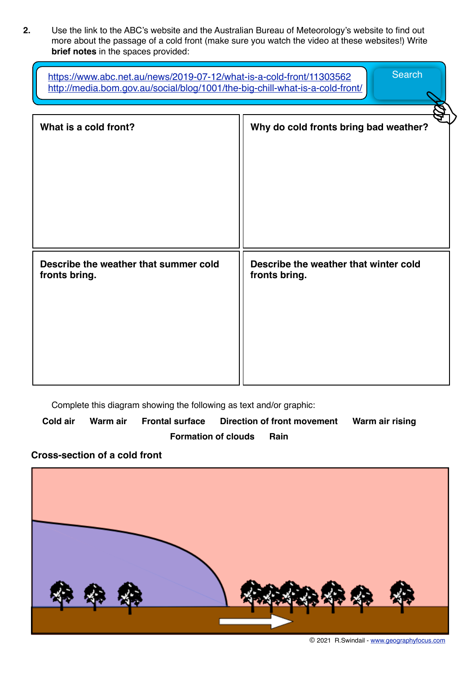**2.** Use the link to the ABC's website and the Australian Bureau of Meteorology's website to find out more about the passage of a cold front (make sure you watch the video at these websites!) Write **brief notes** in the spaces provided:

| <b>Search</b><br>https://www.abc.net.au/news/2019-07-12/what-is-a-cold-front/11303562<br>http://media.bom.gov.au/social/blog/1001/the-big-chill-what-is-a-cold-front/ |                                                        |  |  |  |  |  |
|-----------------------------------------------------------------------------------------------------------------------------------------------------------------------|--------------------------------------------------------|--|--|--|--|--|
| What is a cold front?                                                                                                                                                 | Why do cold fronts bring bad weather?                  |  |  |  |  |  |
| Describe the weather that summer cold<br>fronts bring.                                                                                                                | Describe the weather that winter cold<br>fronts bring. |  |  |  |  |  |

Complete this diagram showing the following as text and/or graphic:

**Cold air Warm air Frontal surface Direction of front movement Warm air rising Formation of clouds Rain** 

## **Cross-section of a cold front**



© 2021 R.Swindail - [www.geographyfocus.com](http://www.geographyfocus.com)